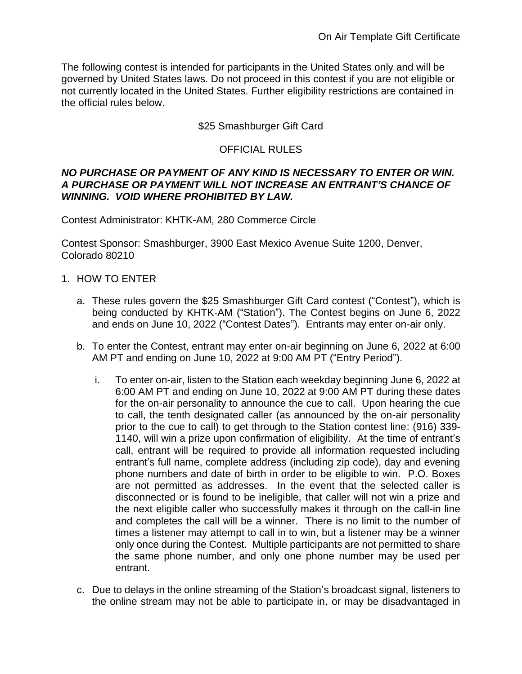The following contest is intended for participants in the United States only and will be governed by United States laws. Do not proceed in this contest if you are not eligible or not currently located in the United States. Further eligibility restrictions are contained in the official rules below.

## \$25 Smashburger Gift Card

## OFFICIAL RULES

#### *NO PURCHASE OR PAYMENT OF ANY KIND IS NECESSARY TO ENTER OR WIN. A PURCHASE OR PAYMENT WILL NOT INCREASE AN ENTRANT'S CHANCE OF WINNING. VOID WHERE PROHIBITED BY LAW.*

Contest Administrator: KHTK-AM, 280 Commerce Circle

Contest Sponsor: Smashburger, 3900 East Mexico Avenue Suite 1200, Denver, Colorado 80210

- 1. HOW TO ENTER
	- a. These rules govern the \$25 Smashburger Gift Card contest ("Contest"), which is being conducted by KHTK-AM ("Station"). The Contest begins on June 6, 2022 and ends on June 10, 2022 ("Contest Dates"). Entrants may enter on-air only.
	- b. To enter the Contest, entrant may enter on-air beginning on June 6, 2022 at 6:00 AM PT and ending on June 10, 2022 at 9:00 AM PT ("Entry Period").
		- i. To enter on-air, listen to the Station each weekday beginning June 6, 2022 at 6:00 AM PT and ending on June 10, 2022 at 9:00 AM PT during these dates for the on-air personality to announce the cue to call. Upon hearing the cue to call, the tenth designated caller (as announced by the on-air personality prior to the cue to call) to get through to the Station contest line: (916) 339- 1140, will win a prize upon confirmation of eligibility. At the time of entrant's call, entrant will be required to provide all information requested including entrant's full name, complete address (including zip code), day and evening phone numbers and date of birth in order to be eligible to win. P.O. Boxes are not permitted as addresses. In the event that the selected caller is disconnected or is found to be ineligible, that caller will not win a prize and the next eligible caller who successfully makes it through on the call-in line and completes the call will be a winner. There is no limit to the number of times a listener may attempt to call in to win, but a listener may be a winner only once during the Contest. Multiple participants are not permitted to share the same phone number, and only one phone number may be used per entrant.
	- c. Due to delays in the online streaming of the Station's broadcast signal, listeners to the online stream may not be able to participate in, or may be disadvantaged in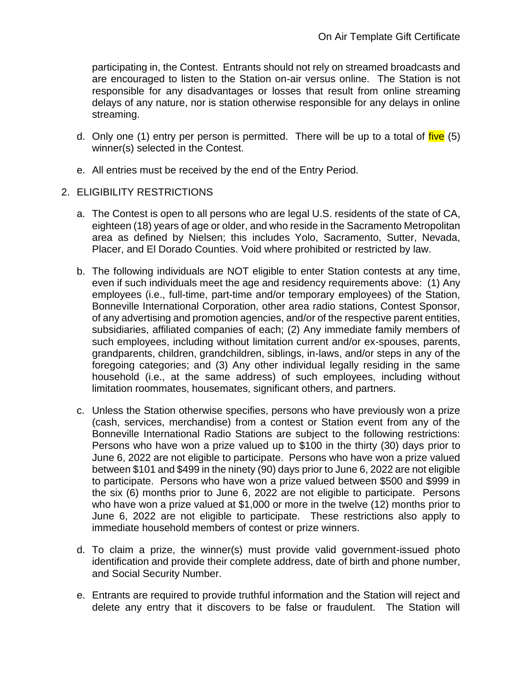participating in, the Contest. Entrants should not rely on streamed broadcasts and are encouraged to listen to the Station on-air versus online. The Station is not responsible for any disadvantages or losses that result from online streaming delays of any nature, nor is station otherwise responsible for any delays in online streaming.

- d. Only one (1) entry per person is permitted. There will be up to a total of five (5) winner(s) selected in the Contest.
- e. All entries must be received by the end of the Entry Period.
- 2. ELIGIBILITY RESTRICTIONS
	- a. The Contest is open to all persons who are legal U.S. residents of the state of CA, eighteen (18) years of age or older, and who reside in the Sacramento Metropolitan area as defined by Nielsen; this includes Yolo, Sacramento, Sutter, Nevada, Placer, and El Dorado Counties. Void where prohibited or restricted by law.
	- b. The following individuals are NOT eligible to enter Station contests at any time, even if such individuals meet the age and residency requirements above: (1) Any employees (i.e., full-time, part-time and/or temporary employees) of the Station, Bonneville International Corporation, other area radio stations, Contest Sponsor, of any advertising and promotion agencies, and/or of the respective parent entities, subsidiaries, affiliated companies of each; (2) Any immediate family members of such employees, including without limitation current and/or ex-spouses, parents, grandparents, children, grandchildren, siblings, in-laws, and/or steps in any of the foregoing categories; and (3) Any other individual legally residing in the same household (i.e., at the same address) of such employees, including without limitation roommates, housemates, significant others, and partners.
	- c. Unless the Station otherwise specifies, persons who have previously won a prize (cash, services, merchandise) from a contest or Station event from any of the Bonneville International Radio Stations are subject to the following restrictions: Persons who have won a prize valued up to \$100 in the thirty (30) days prior to June 6, 2022 are not eligible to participate. Persons who have won a prize valued between \$101 and \$499 in the ninety (90) days prior to June 6, 2022 are not eligible to participate. Persons who have won a prize valued between \$500 and \$999 in the six (6) months prior to June 6, 2022 are not eligible to participate. Persons who have won a prize valued at \$1,000 or more in the twelve (12) months prior to June 6, 2022 are not eligible to participate. These restrictions also apply to immediate household members of contest or prize winners.
	- d. To claim a prize, the winner(s) must provide valid government-issued photo identification and provide their complete address, date of birth and phone number, and Social Security Number.
	- e. Entrants are required to provide truthful information and the Station will reject and delete any entry that it discovers to be false or fraudulent. The Station will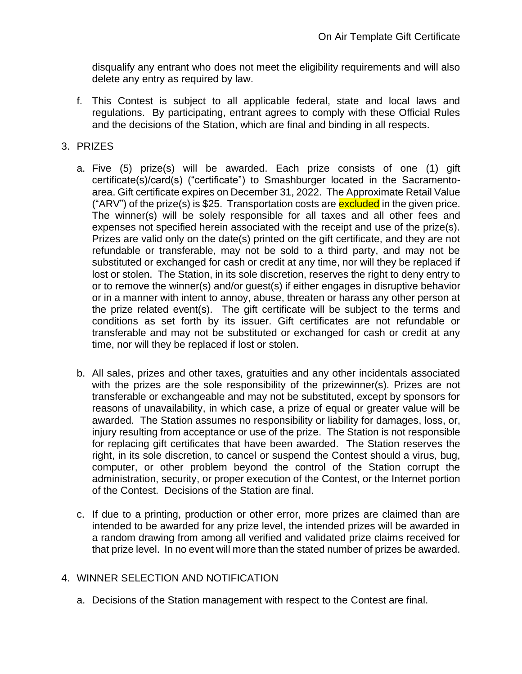disqualify any entrant who does not meet the eligibility requirements and will also delete any entry as required by law.

f. This Contest is subject to all applicable federal, state and local laws and regulations. By participating, entrant agrees to comply with these Official Rules and the decisions of the Station, which are final and binding in all respects.

## 3. PRIZES

- a. Five (5) prize(s) will be awarded. Each prize consists of one (1) gift certificate(s)/card(s) ("certificate") to Smashburger located in the Sacramentoarea. Gift certificate expires on December 31, 2022. The Approximate Retail Value ("ARV") of the prize(s) is \$25. Transportation costs are excluded in the given price. The winner(s) will be solely responsible for all taxes and all other fees and expenses not specified herein associated with the receipt and use of the prize(s). Prizes are valid only on the date(s) printed on the gift certificate, and they are not refundable or transferable, may not be sold to a third party, and may not be substituted or exchanged for cash or credit at any time, nor will they be replaced if lost or stolen. The Station, in its sole discretion, reserves the right to deny entry to or to remove the winner(s) and/or guest(s) if either engages in disruptive behavior or in a manner with intent to annoy, abuse, threaten or harass any other person at the prize related event(s). The gift certificate will be subject to the terms and conditions as set forth by its issuer. Gift certificates are not refundable or transferable and may not be substituted or exchanged for cash or credit at any time, nor will they be replaced if lost or stolen.
- b. All sales, prizes and other taxes, gratuities and any other incidentals associated with the prizes are the sole responsibility of the prizewinner(s). Prizes are not transferable or exchangeable and may not be substituted, except by sponsors for reasons of unavailability, in which case, a prize of equal or greater value will be awarded. The Station assumes no responsibility or liability for damages, loss, or, injury resulting from acceptance or use of the prize. The Station is not responsible for replacing gift certificates that have been awarded. The Station reserves the right, in its sole discretion, to cancel or suspend the Contest should a virus, bug, computer, or other problem beyond the control of the Station corrupt the administration, security, or proper execution of the Contest, or the Internet portion of the Contest. Decisions of the Station are final.
- c. If due to a printing, production or other error, more prizes are claimed than are intended to be awarded for any prize level, the intended prizes will be awarded in a random drawing from among all verified and validated prize claims received for that prize level. In no event will more than the stated number of prizes be awarded.

# 4. WINNER SELECTION AND NOTIFICATION

a. Decisions of the Station management with respect to the Contest are final.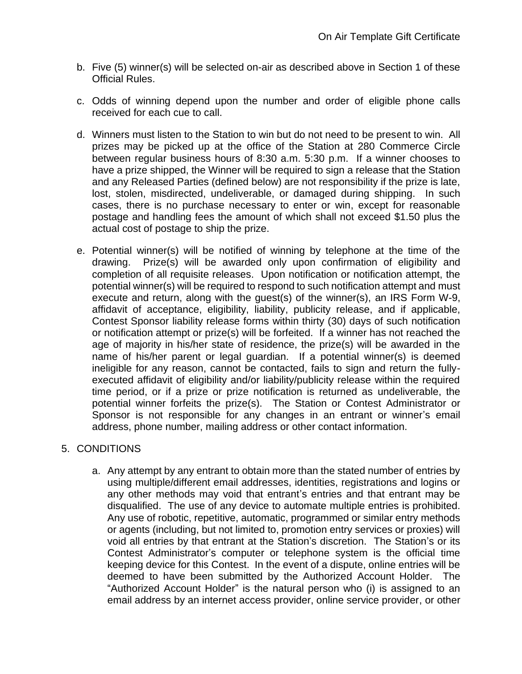- b. Five (5) winner(s) will be selected on-air as described above in Section 1 of these Official Rules.
- c. Odds of winning depend upon the number and order of eligible phone calls received for each cue to call.
- d. Winners must listen to the Station to win but do not need to be present to win. All prizes may be picked up at the office of the Station at 280 Commerce Circle between regular business hours of 8:30 a.m. 5:30 p.m. If a winner chooses to have a prize shipped, the Winner will be required to sign a release that the Station and any Released Parties (defined below) are not responsibility if the prize is late, lost, stolen, misdirected, undeliverable, or damaged during shipping. In such cases, there is no purchase necessary to enter or win, except for reasonable postage and handling fees the amount of which shall not exceed \$1.50 plus the actual cost of postage to ship the prize.
- e. Potential winner(s) will be notified of winning by telephone at the time of the drawing. Prize(s) will be awarded only upon confirmation of eligibility and completion of all requisite releases. Upon notification or notification attempt, the potential winner(s) will be required to respond to such notification attempt and must execute and return, along with the guest(s) of the winner(s), an IRS Form W-9, affidavit of acceptance, eligibility, liability, publicity release, and if applicable, Contest Sponsor liability release forms within thirty (30) days of such notification or notification attempt or prize(s) will be forfeited. If a winner has not reached the age of majority in his/her state of residence, the prize(s) will be awarded in the name of his/her parent or legal guardian. If a potential winner(s) is deemed ineligible for any reason, cannot be contacted, fails to sign and return the fullyexecuted affidavit of eligibility and/or liability/publicity release within the required time period, or if a prize or prize notification is returned as undeliverable, the potential winner forfeits the prize(s). The Station or Contest Administrator or Sponsor is not responsible for any changes in an entrant or winner's email address, phone number, mailing address or other contact information.

# 5. CONDITIONS

a. Any attempt by any entrant to obtain more than the stated number of entries by using multiple/different email addresses, identities, registrations and logins or any other methods may void that entrant's entries and that entrant may be disqualified. The use of any device to automate multiple entries is prohibited. Any use of robotic, repetitive, automatic, programmed or similar entry methods or agents (including, but not limited to, promotion entry services or proxies) will void all entries by that entrant at the Station's discretion. The Station's or its Contest Administrator's computer or telephone system is the official time keeping device for this Contest. In the event of a dispute, online entries will be deemed to have been submitted by the Authorized Account Holder. The "Authorized Account Holder" is the natural person who (i) is assigned to an email address by an internet access provider, online service provider, or other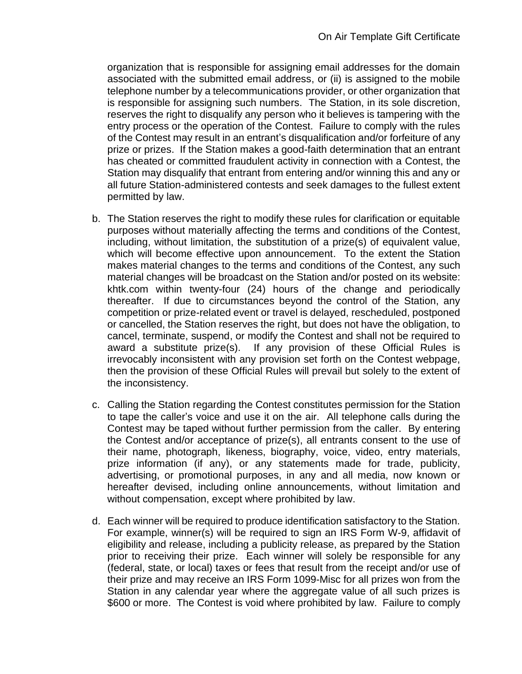organization that is responsible for assigning email addresses for the domain associated with the submitted email address, or (ii) is assigned to the mobile telephone number by a telecommunications provider, or other organization that is responsible for assigning such numbers. The Station, in its sole discretion, reserves the right to disqualify any person who it believes is tampering with the entry process or the operation of the Contest. Failure to comply with the rules of the Contest may result in an entrant's disqualification and/or forfeiture of any prize or prizes. If the Station makes a good-faith determination that an entrant has cheated or committed fraudulent activity in connection with a Contest, the Station may disqualify that entrant from entering and/or winning this and any or all future Station-administered contests and seek damages to the fullest extent permitted by law.

- b. The Station reserves the right to modify these rules for clarification or equitable purposes without materially affecting the terms and conditions of the Contest, including, without limitation, the substitution of a prize(s) of equivalent value, which will become effective upon announcement. To the extent the Station makes material changes to the terms and conditions of the Contest, any such material changes will be broadcast on the Station and/or posted on its website: khtk.com within twenty-four (24) hours of the change and periodically thereafter. If due to circumstances beyond the control of the Station, any competition or prize-related event or travel is delayed, rescheduled, postponed or cancelled, the Station reserves the right, but does not have the obligation, to cancel, terminate, suspend, or modify the Contest and shall not be required to award a substitute prize(s). If any provision of these Official Rules is irrevocably inconsistent with any provision set forth on the Contest webpage, then the provision of these Official Rules will prevail but solely to the extent of the inconsistency.
- c. Calling the Station regarding the Contest constitutes permission for the Station to tape the caller's voice and use it on the air. All telephone calls during the Contest may be taped without further permission from the caller. By entering the Contest and/or acceptance of prize(s), all entrants consent to the use of their name, photograph, likeness, biography, voice, video, entry materials, prize information (if any), or any statements made for trade, publicity, advertising, or promotional purposes, in any and all media, now known or hereafter devised, including online announcements, without limitation and without compensation, except where prohibited by law.
- d. Each winner will be required to produce identification satisfactory to the Station. For example, winner(s) will be required to sign an IRS Form W-9, affidavit of eligibility and release, including a publicity release, as prepared by the Station prior to receiving their prize. Each winner will solely be responsible for any (federal, state, or local) taxes or fees that result from the receipt and/or use of their prize and may receive an IRS Form 1099-Misc for all prizes won from the Station in any calendar year where the aggregate value of all such prizes is \$600 or more. The Contest is void where prohibited by law. Failure to comply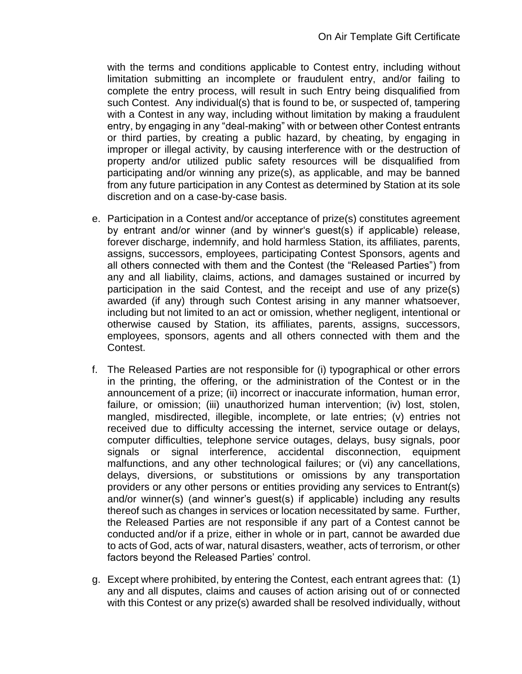with the terms and conditions applicable to Contest entry, including without limitation submitting an incomplete or fraudulent entry, and/or failing to complete the entry process, will result in such Entry being disqualified from such Contest. Any individual(s) that is found to be, or suspected of, tampering with a Contest in any way, including without limitation by making a fraudulent entry, by engaging in any "deal-making" with or between other Contest entrants or third parties, by creating a public hazard, by cheating, by engaging in improper or illegal activity, by causing interference with or the destruction of property and/or utilized public safety resources will be disqualified from participating and/or winning any prize(s), as applicable, and may be banned from any future participation in any Contest as determined by Station at its sole discretion and on a case-by-case basis.

- e. Participation in a Contest and/or acceptance of prize(s) constitutes agreement by entrant and/or winner (and by winner's guest(s) if applicable) release, forever discharge, indemnify, and hold harmless Station, its affiliates, parents, assigns, successors, employees, participating Contest Sponsors, agents and all others connected with them and the Contest (the "Released Parties") from any and all liability, claims, actions, and damages sustained or incurred by participation in the said Contest, and the receipt and use of any prize(s) awarded (if any) through such Contest arising in any manner whatsoever, including but not limited to an act or omission, whether negligent, intentional or otherwise caused by Station, its affiliates, parents, assigns, successors, employees, sponsors, agents and all others connected with them and the Contest.
- f. The Released Parties are not responsible for (i) typographical or other errors in the printing, the offering, or the administration of the Contest or in the announcement of a prize; (ii) incorrect or inaccurate information, human error, failure, or omission; (iii) unauthorized human intervention; (iv) lost, stolen, mangled, misdirected, illegible, incomplete, or late entries; (v) entries not received due to difficulty accessing the internet, service outage or delays, computer difficulties, telephone service outages, delays, busy signals, poor signals or signal interference, accidental disconnection, equipment malfunctions, and any other technological failures; or (vi) any cancellations, delays, diversions, or substitutions or omissions by any transportation providers or any other persons or entities providing any services to Entrant(s) and/or winner(s) (and winner's guest(s) if applicable) including any results thereof such as changes in services or location necessitated by same. Further, the Released Parties are not responsible if any part of a Contest cannot be conducted and/or if a prize, either in whole or in part, cannot be awarded due to acts of God, acts of war, natural disasters, weather, acts of terrorism, or other factors beyond the Released Parties' control.
- g. Except where prohibited, by entering the Contest, each entrant agrees that: (1) any and all disputes, claims and causes of action arising out of or connected with this Contest or any prize(s) awarded shall be resolved individually, without